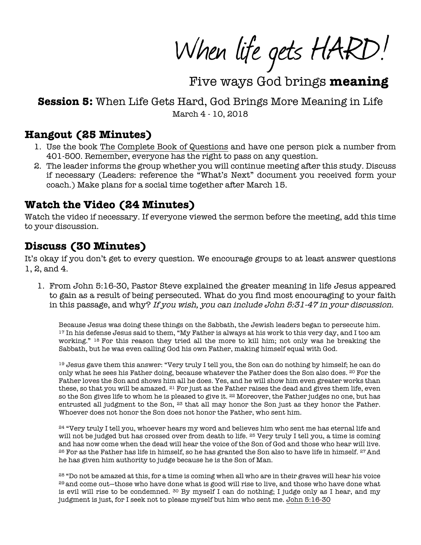When life gets HARD!

Five ways God brings meaning

# **Session 5:** When Life Gets Hard, God Brings More Meaning in Life March 4 - 10, 2018

### **Hangout (25 Minutes)**

- 1. Use the book The Complete Book of Questions and have one person pick a number from 401-500. Remember, everyone has the right to pass on any question.
- 2. The leader informs the group whether you will continue meeting after this study. Discuss if necessary (Leaders: reference the "What's Next" document you received form your coach.) Make plans for a social time together after March 15.

# **Watch the Video (24 Minutes)**

Watch the video if necessary. If everyone viewed the sermon before the meeting, add this time to your discussion.

# **Discuss (30 Minutes)**

It's okay if you don't get to every question. We encourage groups to at least answer questions 1, 2, and 4.

1. From John 5:16-30, Pastor Steve explained the greater meaning in life Jesus appeared to gain as a result of being persecuted. What do you find most encouraging to your faith in this passage, and why? If you wish, you can include John 5:31-47 in your discussion.

Because Jesus was doing these things on the Sabbath, the Jewish leaders began to persecute him. <sup>17</sup> In his defense Jesus said to them, "My Father is always at his work to this very day, and I too am working." <sup>18</sup> For this reason they tried all the more to kill him; not only was he breaking the Sabbath, but he was even calling God his own Father, making himself equal with God.

<sup>19</sup> Jesus gave them this answer: "Very truly I tell you, the Son can do nothing by himself; he can do only what he sees his Father doing, because whatever the Father does the Son also does. <sup>20</sup> For the Father loves the Son and shows him all he does. Yes, and he will show him even greater works than these, so that you will be amazed.  $21$  For just as the Father raises the dead and gives them life, even so the Son gives life to whom he is pleased to give it. <sup>22</sup> Moreover, the Father judges no one, but has entrusted all judgment to the Son, <sup>23</sup> that all may honor the Son just as they honor the Father. Whoever does not honor the Son does not honor the Father, who sent him.

24 "Very truly I tell you, whoever hears my word and believes him who sent me has eternal life and will not be judged but has crossed over from death to life. <sup>25</sup> Very truly I tell you, a time is coming and has now come when the dead will hear the voice of the Son of God and those who hear will live. <sup>26</sup> For as the Father has life in himself, so he has granted the Son also to have life in himself. <sup>27</sup> And he has given him authority to judge because he is the Son of Man.

<sup>28</sup> "Do not be amazed at this, for a time is coming when all who are in their graves will hear his voice <sup>29</sup> and come out—those who have done what is good will rise to live, and those who have done what is evil will rise to be condemned.  $30$  By myself I can do nothing; I judge only as I hear, and my judgment is just, for I seek not to please myself but him who sent me. John 5:16-30